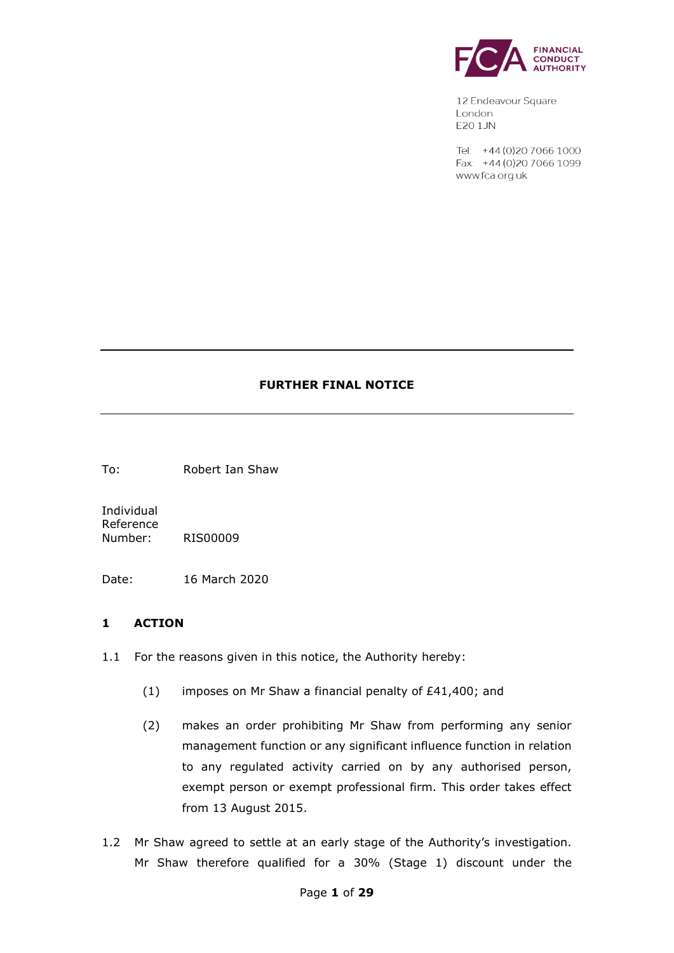

12 Endeavour Square London **E20 1JN** 

Tel: +44 (0) 20 7066 1000 Fax: +44 (0) 20 7066 1099 www.fca.org.uk

#### **FURTHER FINAL NOTICE**

To: Robert Ian Shaw

Individual Reference Number: RIS00009

Date: 16 March 2020

#### **1 ACTION**

- 1.1 For the reasons given in this notice, the Authority hereby:
	- (1) imposes on Mr Shaw a financial penalty of £41,400; and
	- (2) makes an order prohibiting Mr Shaw from performing any senior management function or any significant influence function in relation to any regulated activity carried on by any authorised person, exempt person or exempt professional firm. This order takes effect from 13 August 2015.
- 1.2 Mr Shaw agreed to settle at an early stage of the Authority's investigation. Mr Shaw therefore qualified for a 30% (Stage 1) discount under the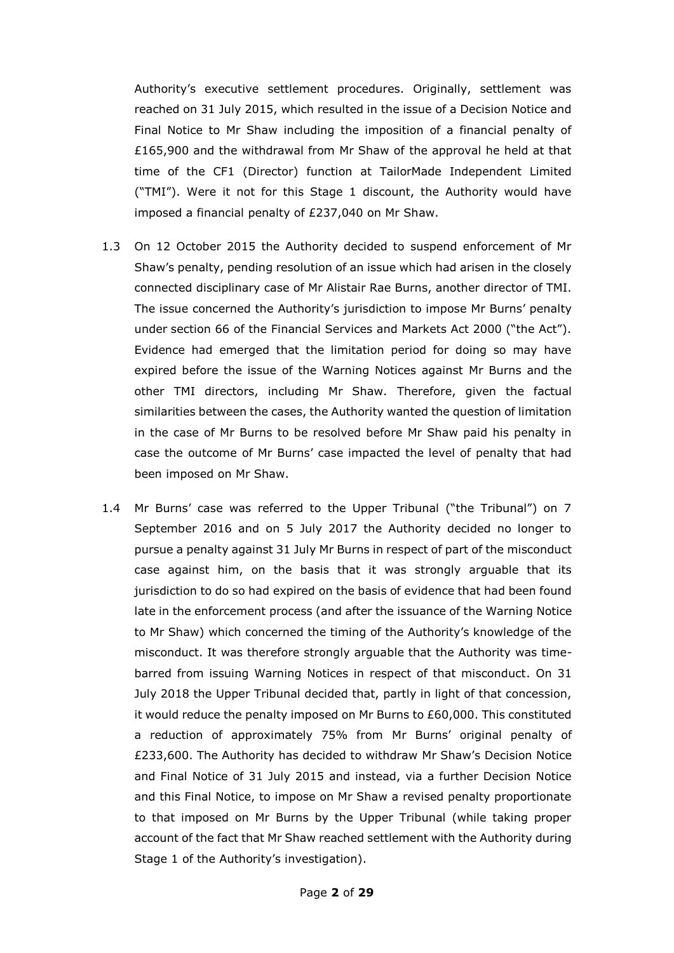Authority's executive settlement procedures. Originally, settlement was reached on 31 July 2015, which resulted in the issue of a Decision Notice and Final Notice to Mr Shaw including the imposition of a financial penalty of £165,900 and the withdrawal from Mr Shaw of the approval he held at that time of the CF1 (Director) function at TailorMade Independent Limited ("TMI"). Were it not for this Stage 1 discount, the Authority would have imposed a financial penalty of £237,040 on Mr Shaw.

- 1.3 On 12 October 2015 the Authority decided to suspend enforcement of Mr Shaw's penalty, pending resolution of an issue which had arisen in the closely connected disciplinary case of Mr Alistair Rae Burns, another director of TMI. The issue concerned the Authority's jurisdiction to impose Mr Burns' penalty under section 66 of the Financial Services and Markets Act 2000 ("the Act"). Evidence had emerged that the limitation period for doing so may have expired before the issue of the Warning Notices against Mr Burns and the other TMI directors, including Mr Shaw. Therefore, given the factual similarities between the cases, the Authority wanted the question of limitation in the case of Mr Burns to be resolved before Mr Shaw paid his penalty in case the outcome of Mr Burns' case impacted the level of penalty that had been imposed on Mr Shaw.
- 1.4 Mr Burns' case was referred to the Upper Tribunal ("the Tribunal") on 7 September 2016 and on 5 July 2017 the Authority decided no longer to pursue a penalty against 31 July Mr Burns in respect of part of the misconduct case against him, on the basis that it was strongly arguable that its jurisdiction to do so had expired on the basis of evidence that had been found late in the enforcement process (and after the issuance of the Warning Notice to Mr Shaw) which concerned the timing of the Authority's knowledge of the misconduct. It was therefore strongly arguable that the Authority was timebarred from issuing Warning Notices in respect of that misconduct. On 31 July 2018 the Upper Tribunal decided that, partly in light of that concession, it would reduce the penalty imposed on Mr Burns to £60,000. This constituted a reduction of approximately 75% from Mr Burns' original penalty of £233,600. The Authority has decided to withdraw Mr Shaw's Decision Notice and Final Notice of 31 July 2015 and instead, via a further Decision Notice and this Final Notice, to impose on Mr Shaw a revised penalty proportionate to that imposed on Mr Burns by the Upper Tribunal (while taking proper account of the fact that Mr Shaw reached settlement with the Authority during Stage 1 of the Authority's investigation).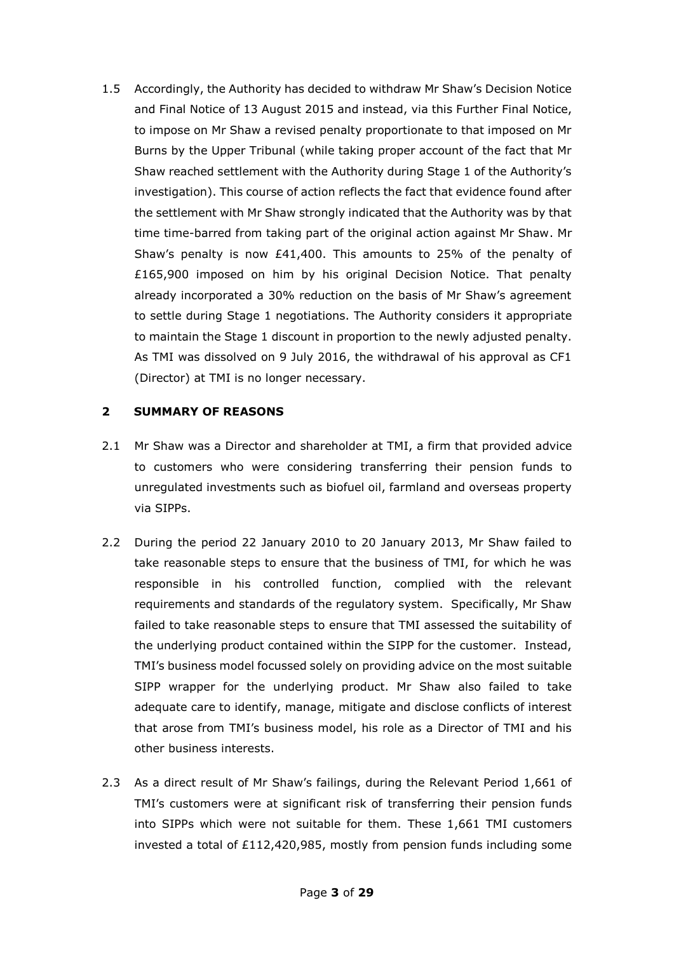1.5 Accordingly, the Authority has decided to withdraw Mr Shaw's Decision Notice and Final Notice of 13 August 2015 and instead, via this Further Final Notice, to impose on Mr Shaw a revised penalty proportionate to that imposed on Mr Burns by the Upper Tribunal (while taking proper account of the fact that Mr Shaw reached settlement with the Authority during Stage 1 of the Authority's investigation). This course of action reflects the fact that evidence found after the settlement with Mr Shaw strongly indicated that the Authority was by that time time-barred from taking part of the original action against Mr Shaw. Mr Shaw's penalty is now  $E41,400$ . This amounts to 25% of the penalty of £165,900 imposed on him by his original Decision Notice. That penalty already incorporated a 30% reduction on the basis of Mr Shaw's agreement to settle during Stage 1 negotiations. The Authority considers it appropriate to maintain the Stage 1 discount in proportion to the newly adjusted penalty. As TMI was dissolved on 9 July 2016, the withdrawal of his approval as CF1 (Director) at TMI is no longer necessary.

#### **2 SUMMARY OF REASONS**

- 2.1 Mr Shaw was a Director and shareholder at TMI, a firm that provided advice to customers who were considering transferring their pension funds to unregulated investments such as biofuel oil, farmland and overseas property via SIPPs.
- 2.2 During the period 22 January 2010 to 20 January 2013, Mr Shaw failed to take reasonable steps to ensure that the business of TMI, for which he was responsible in his controlled function, complied with the relevant requirements and standards of the regulatory system. Specifically, Mr Shaw failed to take reasonable steps to ensure that TMI assessed the suitability of the underlying product contained within the SIPP for the customer. Instead, TMI's business model focussed solely on providing advice on the most suitable SIPP wrapper for the underlying product. Mr Shaw also failed to take adequate care to identify, manage, mitigate and disclose conflicts of interest that arose from TMI's business model, his role as a Director of TMI and his other business interests.
- 2.3 As a direct result of Mr Shaw's failings, during the Relevant Period 1,661 of TMI's customers were at significant risk of transferring their pension funds into SIPPs which were not suitable for them. These 1,661 TMI customers invested a total of £112,420,985, mostly from pension funds including some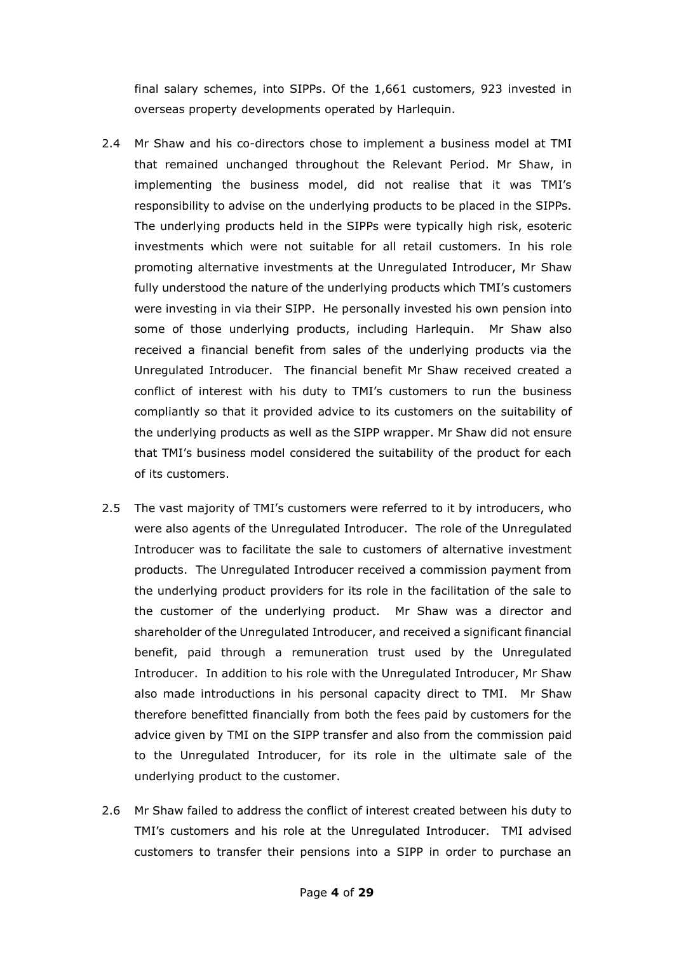final salary schemes, into SIPPs. Of the 1,661 customers, 923 invested in overseas property developments operated by Harlequin.

- 2.4 Mr Shaw and his co-directors chose to implement a business model at TMI that remained unchanged throughout the Relevant Period. Mr Shaw, in implementing the business model, did not realise that it was TMI's responsibility to advise on the underlying products to be placed in the SIPPs. The underlying products held in the SIPPs were typically high risk, esoteric investments which were not suitable for all retail customers. In his role promoting alternative investments at the Unregulated Introducer, Mr Shaw fully understood the nature of the underlying products which TMI's customers were investing in via their SIPP. He personally invested his own pension into some of those underlying products, including Harlequin. Mr Shaw also received a financial benefit from sales of the underlying products via the Unregulated Introducer. The financial benefit Mr Shaw received created a conflict of interest with his duty to TMI's customers to run the business compliantly so that it provided advice to its customers on the suitability of the underlying products as well as the SIPP wrapper. Mr Shaw did not ensure that TMI's business model considered the suitability of the product for each of its customers.
- 2.5 The vast majority of TMI's customers were referred to it by introducers, who were also agents of the Unregulated Introducer. The role of the Unregulated Introducer was to facilitate the sale to customers of alternative investment products. The Unregulated Introducer received a commission payment from the underlying product providers for its role in the facilitation of the sale to the customer of the underlying product. Mr Shaw was a director and shareholder of the Unregulated Introducer, and received a significant financial benefit, paid through a remuneration trust used by the Unregulated Introducer. In addition to his role with the Unregulated Introducer, Mr Shaw also made introductions in his personal capacity direct to TMI. Mr Shaw therefore benefitted financially from both the fees paid by customers for the advice given by TMI on the SIPP transfer and also from the commission paid to the Unregulated Introducer, for its role in the ultimate sale of the underlying product to the customer.
- 2.6 Mr Shaw failed to address the conflict of interest created between his duty to TMI's customers and his role at the Unregulated Introducer. TMI advised customers to transfer their pensions into a SIPP in order to purchase an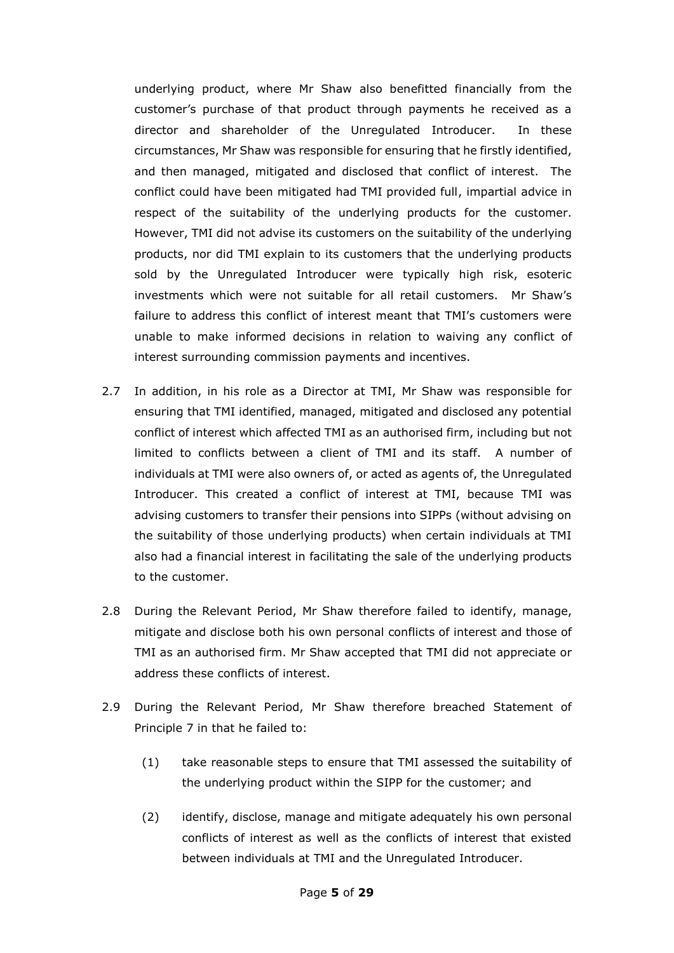underlying product, where Mr Shaw also benefitted financially from the customer's purchase of that product through payments he received as a director and shareholder of the Unregulated Introducer. In these circumstances, Mr Shaw was responsible for ensuring that he firstly identified, and then managed, mitigated and disclosed that conflict of interest. The conflict could have been mitigated had TMI provided full, impartial advice in respect of the suitability of the underlying products for the customer. However, TMI did not advise its customers on the suitability of the underlying products, nor did TMI explain to its customers that the underlying products sold by the Unregulated Introducer were typically high risk, esoteric investments which were not suitable for all retail customers. Mr Shaw's failure to address this conflict of interest meant that TMI's customers were unable to make informed decisions in relation to waiving any conflict of interest surrounding commission payments and incentives.

- 2.7 In addition, in his role as a Director at TMI, Mr Shaw was responsible for ensuring that TMI identified, managed, mitigated and disclosed any potential conflict of interest which affected TMI as an authorised firm, including but not limited to conflicts between a client of TMI and its staff. A number of individuals at TMI were also owners of, or acted as agents of, the Unregulated Introducer. This created a conflict of interest at TMI, because TMI was advising customers to transfer their pensions into SIPPs (without advising on the suitability of those underlying products) when certain individuals at TMI also had a financial interest in facilitating the sale of the underlying products to the customer.
- 2.8 During the Relevant Period, Mr Shaw therefore failed to identify, manage, mitigate and disclose both his own personal conflicts of interest and those of TMI as an authorised firm. Mr Shaw accepted that TMI did not appreciate or address these conflicts of interest.
- 2.9 During the Relevant Period, Mr Shaw therefore breached Statement of Principle 7 in that he failed to:
	- (1) take reasonable steps to ensure that TMI assessed the suitability of the underlying product within the SIPP for the customer; and
	- (2) identify, disclose, manage and mitigate adequately his own personal conflicts of interest as well as the conflicts of interest that existed between individuals at TMI and the Unregulated Introducer.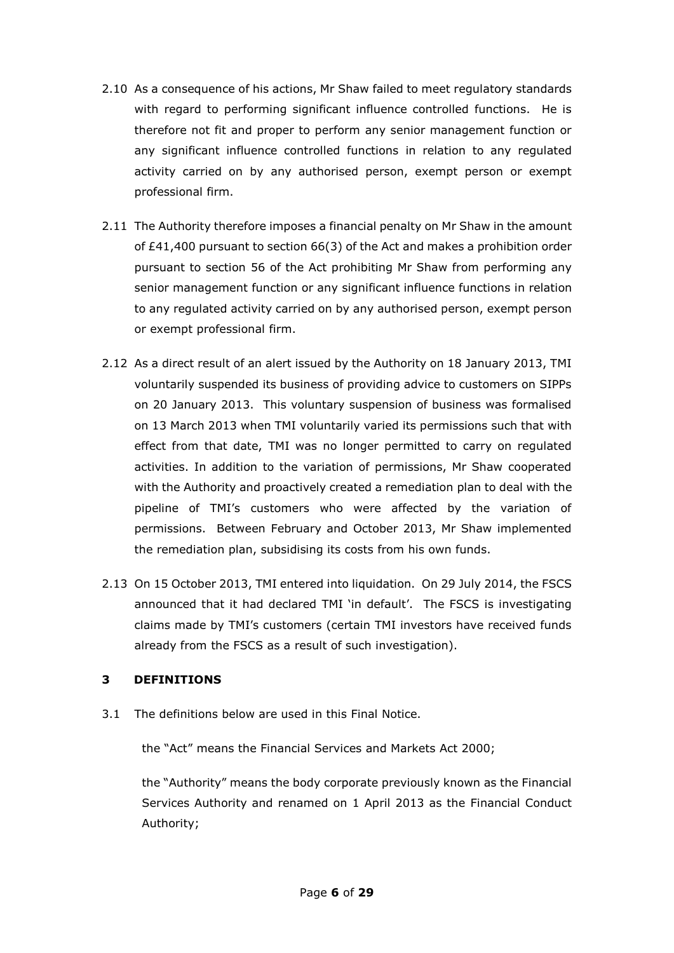- 2.10 As a consequence of his actions, Mr Shaw failed to meet regulatory standards with regard to performing significant influence controlled functions. He is therefore not fit and proper to perform any senior management function or any significant influence controlled functions in relation to any regulated activity carried on by any authorised person, exempt person or exempt professional firm.
- 2.11 The Authority therefore imposes a financial penalty on Mr Shaw in the amount of £41,400 pursuant to section 66(3) of the Act and makes a prohibition order pursuant to section 56 of the Act prohibiting Mr Shaw from performing any senior management function or any significant influence functions in relation to any regulated activity carried on by any authorised person, exempt person or exempt professional firm.
- 2.12 As a direct result of an alert issued by the Authority on 18 January 2013, TMI voluntarily suspended its business of providing advice to customers on SIPPs on 20 January 2013. This voluntary suspension of business was formalised on 13 March 2013 when TMI voluntarily varied its permissions such that with effect from that date, TMI was no longer permitted to carry on regulated activities. In addition to the variation of permissions, Mr Shaw cooperated with the Authority and proactively created a remediation plan to deal with the pipeline of TMI's customers who were affected by the variation of permissions. Between February and October 2013, Mr Shaw implemented the remediation plan, subsidising its costs from his own funds.
- 2.13 On 15 October 2013, TMI entered into liquidation. On 29 July 2014, the FSCS announced that it had declared TMI 'in default'. The FSCS is investigating claims made by TMI's customers (certain TMI investors have received funds already from the FSCS as a result of such investigation).

# **3 DEFINITIONS**

3.1 The definitions below are used in this Final Notice.

the "Act" means the Financial Services and Markets Act 2000;

the "Authority" means the body corporate previously known as the Financial Services Authority and renamed on 1 April 2013 as the Financial Conduct Authority;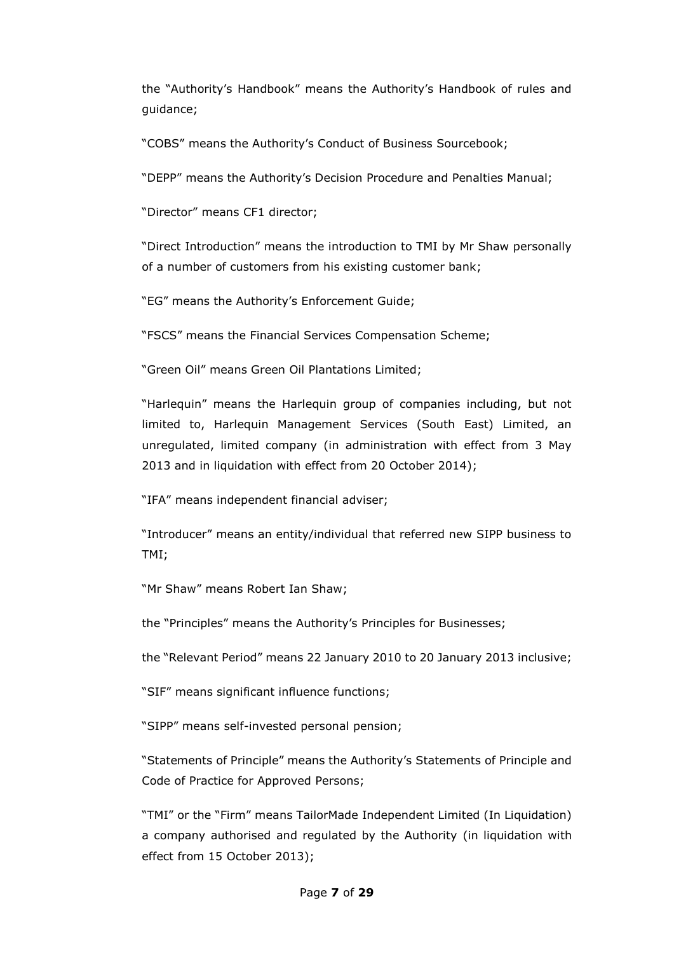the "Authority's Handbook" means the Authority's Handbook of rules and guidance;

"COBS" means the Authority's Conduct of Business Sourcebook;

"DEPP" means the Authority's Decision Procedure and Penalties Manual;

"Director" means CF1 director;

"Direct Introduction" means the introduction to TMI by Mr Shaw personally of a number of customers from his existing customer bank;

"EG" means the Authority's Enforcement Guide;

"FSCS" means the Financial Services Compensation Scheme;

"Green Oil" means Green Oil Plantations Limited;

"Harlequin" means the Harlequin group of companies including, but not limited to, Harlequin Management Services (South East) Limited, an unregulated, limited company (in administration with effect from 3 May 2013 and in liquidation with effect from 20 October 2014);

"IFA" means independent financial adviser;

"Introducer" means an entity/individual that referred new SIPP business to TMI;

"Mr Shaw" means Robert Ian Shaw;

the "Principles" means the Authority's Principles for Businesses;

the "Relevant Period" means 22 January 2010 to 20 January 2013 inclusive;

"SIF" means significant influence functions;

"SIPP" means self-invested personal pension;

"Statements of Principle" means the Authority's Statements of Principle and Code of Practice for Approved Persons;

"TMI" or the "Firm" means TailorMade Independent Limited (In Liquidation) a company authorised and regulated by the Authority (in liquidation with effect from 15 October 2013);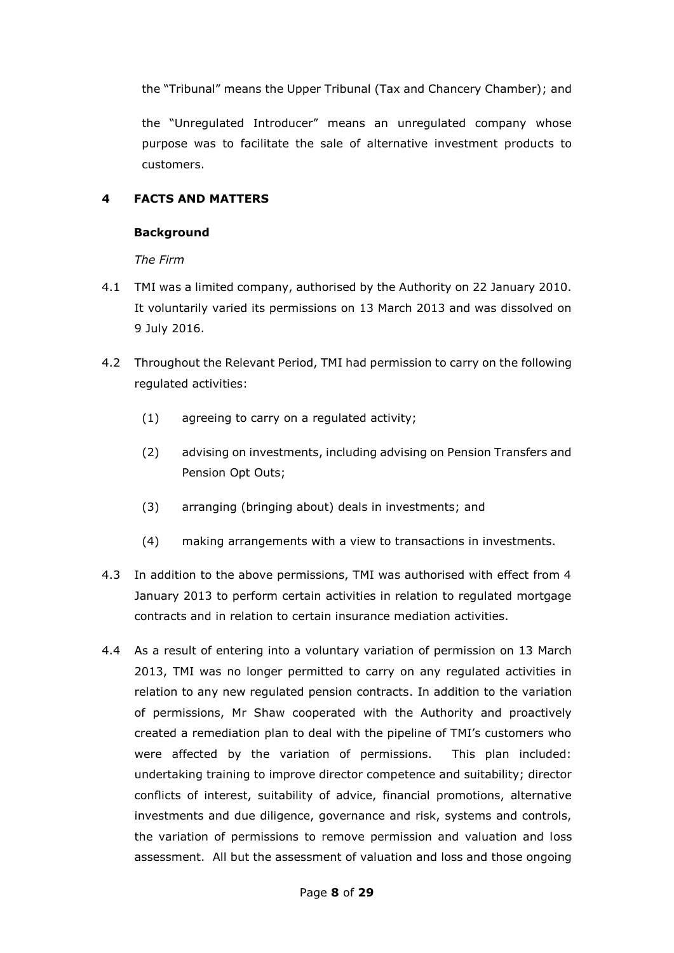the "Tribunal" means the Upper Tribunal (Tax and Chancery Chamber); and

the "Unregulated Introducer" means an unregulated company whose purpose was to facilitate the sale of alternative investment products to customers.

### **4 FACTS AND MATTERS**

#### **Background**

*The Firm*

- 4.1 TMI was a limited company, authorised by the Authority on 22 January 2010. It voluntarily varied its permissions on 13 March 2013 and was dissolved on 9 July 2016.
- 4.2 Throughout the Relevant Period, TMI had permission to carry on the following regulated activities:
	- (1) agreeing to carry on a regulated activity;
	- (2) advising on investments, including advising on Pension Transfers and Pension Opt Outs;
	- (3) arranging (bringing about) deals in investments; and
	- (4) making arrangements with a view to transactions in investments.
- 4.3 In addition to the above permissions, TMI was authorised with effect from 4 January 2013 to perform certain activities in relation to regulated mortgage contracts and in relation to certain insurance mediation activities.
- 4.4 As a result of entering into a voluntary variation of permission on 13 March 2013, TMI was no longer permitted to carry on any regulated activities in relation to any new regulated pension contracts. In addition to the variation of permissions, Mr Shaw cooperated with the Authority and proactively created a remediation plan to deal with the pipeline of TMI's customers who were affected by the variation of permissions. This plan included: undertaking training to improve director competence and suitability; director conflicts of interest, suitability of advice, financial promotions, alternative investments and due diligence, governance and risk, systems and controls, the variation of permissions to remove permission and valuation and loss assessment. All but the assessment of valuation and loss and those ongoing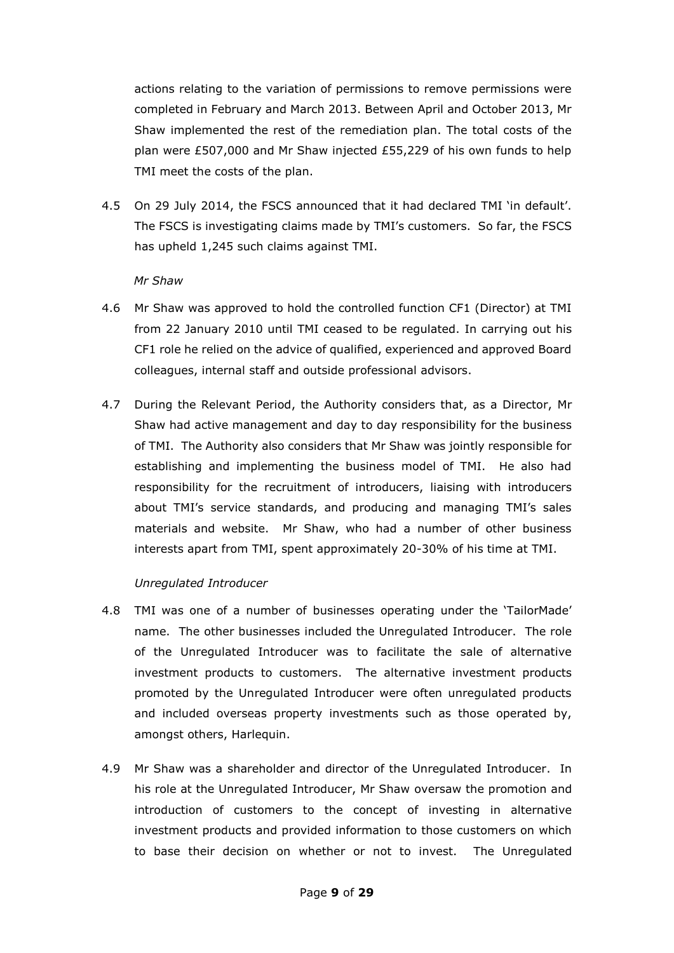actions relating to the variation of permissions to remove permissions were completed in February and March 2013. Between April and October 2013, Mr Shaw implemented the rest of the remediation plan. The total costs of the plan were £507,000 and Mr Shaw injected £55,229 of his own funds to help TMI meet the costs of the plan.

4.5 On 29 July 2014, the FSCS announced that it had declared TMI 'in default'. The FSCS is investigating claims made by TMI's customers. So far, the FSCS has upheld 1,245 such claims against TMI.

#### *Mr Shaw*

- 4.6 Mr Shaw was approved to hold the controlled function CF1 (Director) at TMI from 22 January 2010 until TMI ceased to be regulated. In carrying out his CF1 role he relied on the advice of qualified, experienced and approved Board colleagues, internal staff and outside professional advisors.
- 4.7 During the Relevant Period, the Authority considers that, as a Director, Mr Shaw had active management and day to day responsibility for the business of TMI. The Authority also considers that Mr Shaw was jointly responsible for establishing and implementing the business model of TMI. He also had responsibility for the recruitment of introducers, liaising with introducers about TMI's service standards, and producing and managing TMI's sales materials and website. Mr Shaw, who had a number of other business interests apart from TMI, spent approximately 20-30% of his time at TMI.

#### *Unregulated Introducer*

- 4.8 TMI was one of a number of businesses operating under the 'TailorMade' name. The other businesses included the Unregulated Introducer. The role of the Unregulated Introducer was to facilitate the sale of alternative investment products to customers. The alternative investment products promoted by the Unregulated Introducer were often unregulated products and included overseas property investments such as those operated by, amongst others, Harlequin.
- 4.9 Mr Shaw was a shareholder and director of the Unregulated Introducer. In his role at the Unregulated Introducer, Mr Shaw oversaw the promotion and introduction of customers to the concept of investing in alternative investment products and provided information to those customers on which to base their decision on whether or not to invest. The Unregulated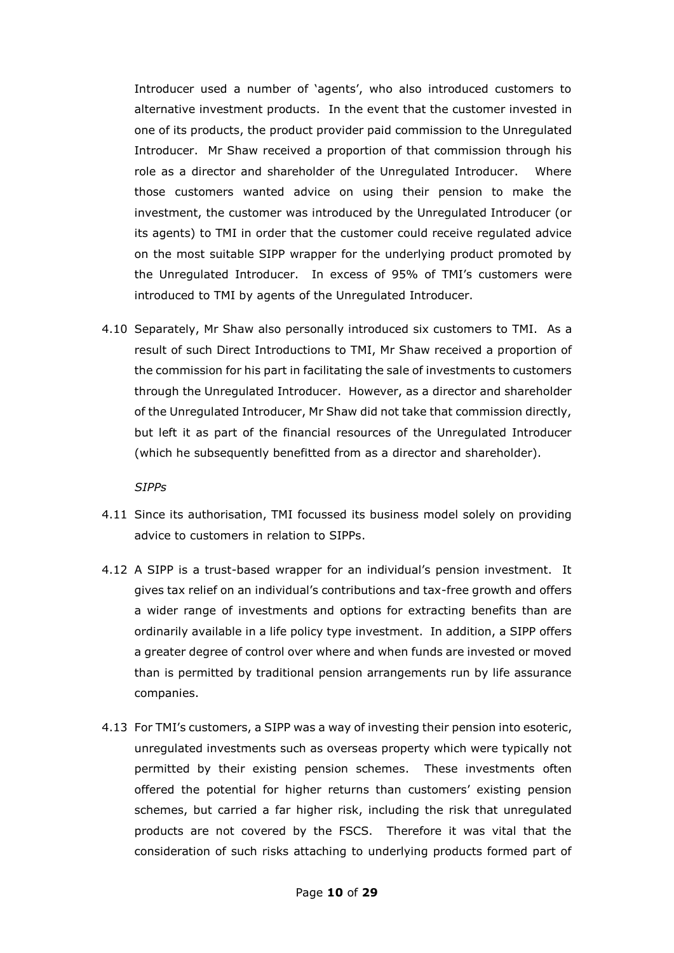Introducer used a number of 'agents', who also introduced customers to alternative investment products. In the event that the customer invested in one of its products, the product provider paid commission to the Unregulated Introducer. Mr Shaw received a proportion of that commission through his role as a director and shareholder of the Unregulated Introducer. Where those customers wanted advice on using their pension to make the investment, the customer was introduced by the Unregulated Introducer (or its agents) to TMI in order that the customer could receive regulated advice on the most suitable SIPP wrapper for the underlying product promoted by the Unregulated Introducer. In excess of 95% of TMI's customers were introduced to TMI by agents of the Unregulated Introducer.

4.10 Separately, Mr Shaw also personally introduced six customers to TMI. As a result of such Direct Introductions to TMI, Mr Shaw received a proportion of the commission for his part in facilitating the sale of investments to customers through the Unregulated Introducer. However, as a director and shareholder of the Unregulated Introducer, Mr Shaw did not take that commission directly, but left it as part of the financial resources of the Unregulated Introducer (which he subsequently benefitted from as a director and shareholder).

*SIPPs*

- 4.11 Since its authorisation, TMI focussed its business model solely on providing advice to customers in relation to SIPPs.
- 4.12 A SIPP is a trust-based wrapper for an individual's pension investment. It gives tax relief on an individual's contributions and tax-free growth and offers a wider range of investments and options for extracting benefits than are ordinarily available in a life policy type investment. In addition, a SIPP offers a greater degree of control over where and when funds are invested or moved than is permitted by traditional pension arrangements run by life assurance companies.
- 4.13 For TMI's customers, a SIPP was a way of investing their pension into esoteric, unregulated investments such as overseas property which were typically not permitted by their existing pension schemes. These investments often offered the potential for higher returns than customers' existing pension schemes, but carried a far higher risk, including the risk that unregulated products are not covered by the FSCS. Therefore it was vital that the consideration of such risks attaching to underlying products formed part of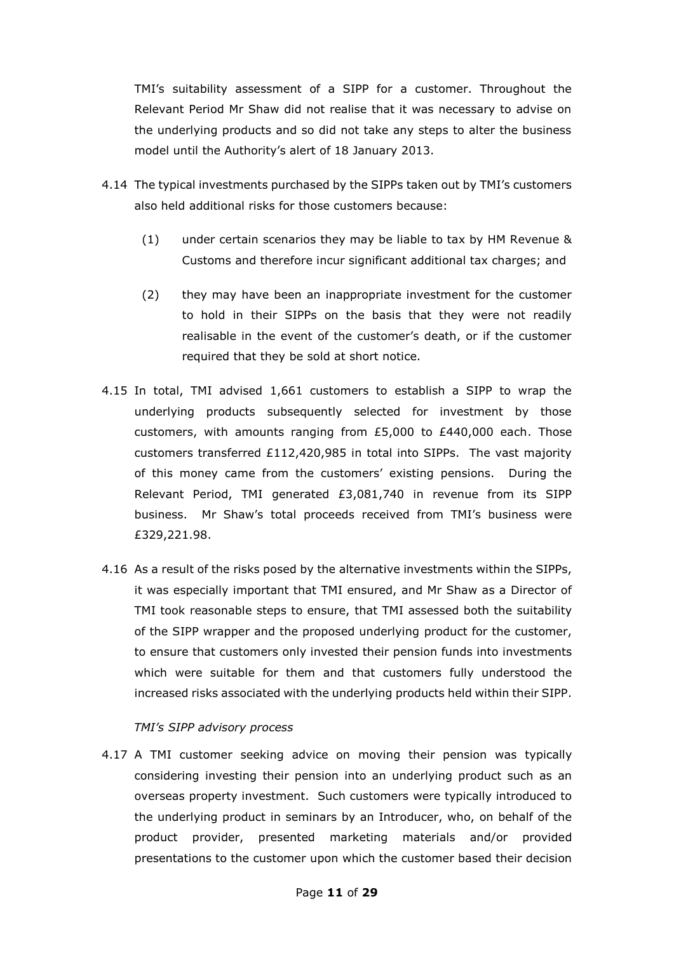TMI's suitability assessment of a SIPP for a customer. Throughout the Relevant Period Mr Shaw did not realise that it was necessary to advise on the underlying products and so did not take any steps to alter the business model until the Authority's alert of 18 January 2013.

- 4.14 The typical investments purchased by the SIPPs taken out by TMI's customers also held additional risks for those customers because:
	- (1) under certain scenarios they may be liable to tax by HM Revenue & Customs and therefore incur significant additional tax charges; and
	- (2) they may have been an inappropriate investment for the customer to hold in their SIPPs on the basis that they were not readily realisable in the event of the customer's death, or if the customer required that they be sold at short notice.
- 4.15 In total, TMI advised 1,661 customers to establish a SIPP to wrap the underlying products subsequently selected for investment by those customers, with amounts ranging from  $E5,000$  to  $E440,000$  each. Those customers transferred £112,420,985 in total into SIPPs. The vast majority of this money came from the customers' existing pensions. During the Relevant Period, TMI generated £3,081,740 in revenue from its SIPP business. Mr Shaw's total proceeds received from TMI's business were £329,221.98.
- 4.16 As a result of the risks posed by the alternative investments within the SIPPs, it was especially important that TMI ensured, and Mr Shaw as a Director of TMI took reasonable steps to ensure, that TMI assessed both the suitability of the SIPP wrapper and the proposed underlying product for the customer, to ensure that customers only invested their pension funds into investments which were suitable for them and that customers fully understood the increased risks associated with the underlying products held within their SIPP.

#### *TMI's SIPP advisory process*

4.17 A TMI customer seeking advice on moving their pension was typically considering investing their pension into an underlying product such as an overseas property investment. Such customers were typically introduced to the underlying product in seminars by an Introducer, who, on behalf of the product provider, presented marketing materials and/or provided presentations to the customer upon which the customer based their decision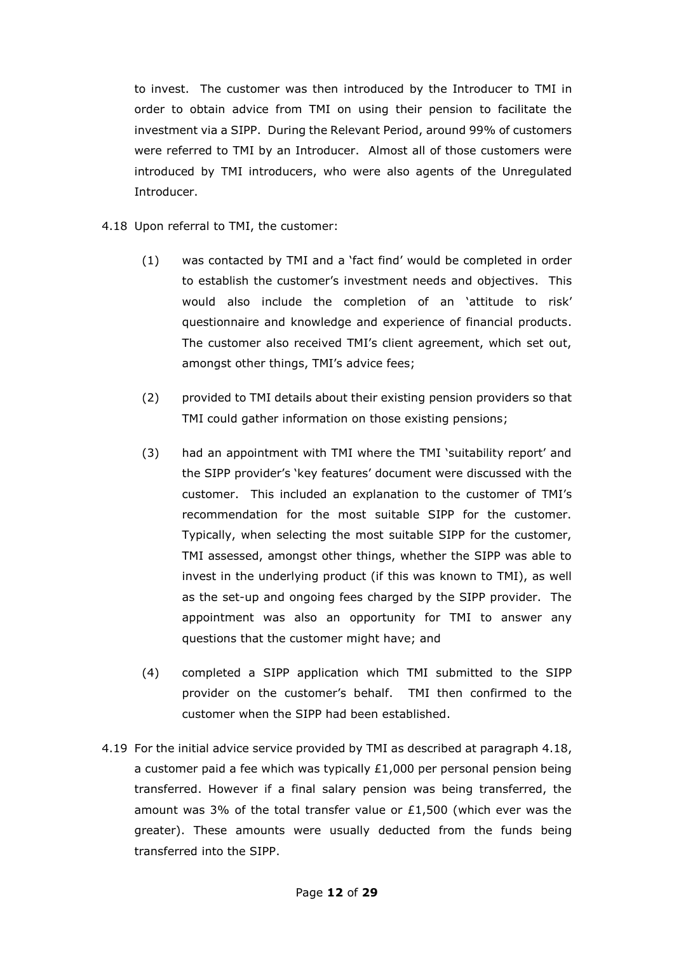to invest. The customer was then introduced by the Introducer to TMI in order to obtain advice from TMI on using their pension to facilitate the investment via a SIPP. During the Relevant Period, around 99% of customers were referred to TMI by an Introducer. Almost all of those customers were introduced by TMI introducers, who were also agents of the Unregulated Introducer.

- <span id="page-11-0"></span>4.18 Upon referral to TMI, the customer:
	- (1) was contacted by TMI and a 'fact find' would be completed in order to establish the customer's investment needs and objectives. This would also include the completion of an 'attitude to risk' questionnaire and knowledge and experience of financial products. The customer also received TMI's client agreement, which set out, amongst other things, TMI's advice fees;
	- (2) provided to TMI details about their existing pension providers so that TMI could gather information on those existing pensions;
	- (3) had an appointment with TMI where the TMI 'suitability report' and the SIPP provider's 'key features' document were discussed with the customer. This included an explanation to the customer of TMI's recommendation for the most suitable SIPP for the customer. Typically, when selecting the most suitable SIPP for the customer, TMI assessed, amongst other things, whether the SIPP was able to invest in the underlying product (if this was known to TMI), as well as the set-up and ongoing fees charged by the SIPP provider. The appointment was also an opportunity for TMI to answer any questions that the customer might have; and
	- (4) completed a SIPP application which TMI submitted to the SIPP provider on the customer's behalf. TMI then confirmed to the customer when the SIPP had been established.
- 4.19 For the initial advice service provided by TMI as described at paragraph [4.18,](#page-11-0) a customer paid a fee which was typically  $£1,000$  per personal pension being transferred. However if a final salary pension was being transferred, the amount was 3% of the total transfer value or £1,500 (which ever was the greater). These amounts were usually deducted from the funds being transferred into the SIPP.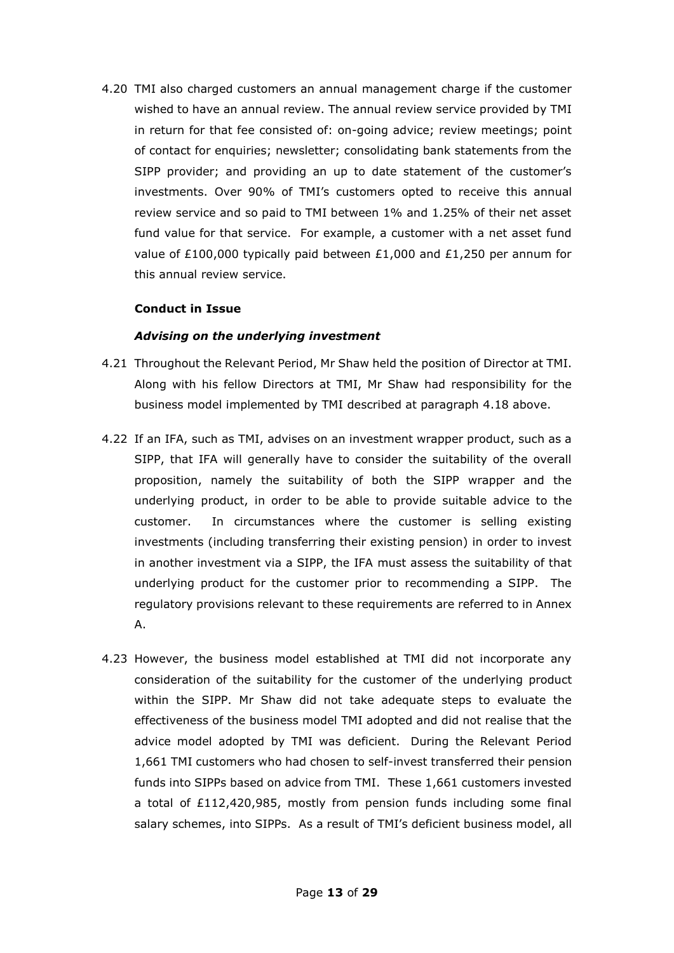4.20 TMI also charged customers an annual management charge if the customer wished to have an annual review. The annual review service provided by TMI in return for that fee consisted of: on-going advice; review meetings; point of contact for enquiries; newsletter; consolidating bank statements from the SIPP provider; and providing an up to date statement of the customer's investments. Over 90% of TMI's customers opted to receive this annual review service and so paid to TMI between 1% and 1.25% of their net asset fund value for that service. For example, a customer with a net asset fund value of £100,000 typically paid between £1,000 and £1,250 per annum for this annual review service.

#### **Conduct in Issue**

### *Advising on the underlying investment*

- 4.21 Throughout the Relevant Period, Mr Shaw held the position of Director at TMI. Along with his fellow Directors at TMI, Mr Shaw had responsibility for the business model implemented by TMI described at paragraph [4.18](#page-11-0) above.
- 4.22 If an IFA, such as TMI, advises on an investment wrapper product, such as a SIPP, that IFA will generally have to consider the suitability of the overall proposition, namely the suitability of both the SIPP wrapper and the underlying product, in order to be able to provide suitable advice to the customer. In circumstances where the customer is selling existing investments (including transferring their existing pension) in order to invest in another investment via a SIPP, the IFA must assess the suitability of that underlying product for the customer prior to recommending a SIPP. The regulatory provisions relevant to these requirements are referred to in Annex A.
- 4.23 However, the business model established at TMI did not incorporate any consideration of the suitability for the customer of the underlying product within the SIPP. Mr Shaw did not take adequate steps to evaluate the effectiveness of the business model TMI adopted and did not realise that the advice model adopted by TMI was deficient. During the Relevant Period 1,661 TMI customers who had chosen to self-invest transferred their pension funds into SIPPs based on advice from TMI. These 1,661 customers invested a total of £112,420,985, mostly from pension funds including some final salary schemes, into SIPPs. As a result of TMI's deficient business model, all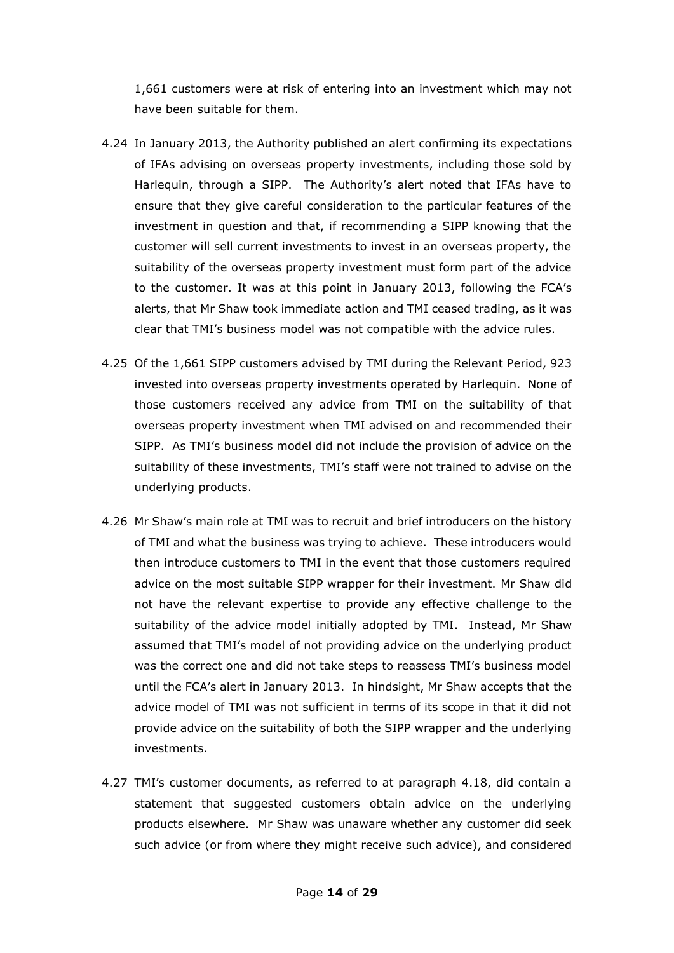1,661 customers were at risk of entering into an investment which may not have been suitable for them.

- 4.24 In January 2013, the Authority published an alert confirming its expectations of IFAs advising on overseas property investments, including those sold by Harlequin, through a SIPP. The Authority's alert noted that IFAs have to ensure that they give careful consideration to the particular features of the investment in question and that, if recommending a SIPP knowing that the customer will sell current investments to invest in an overseas property, the suitability of the overseas property investment must form part of the advice to the customer. It was at this point in January 2013, following the FCA's alerts, that Mr Shaw took immediate action and TMI ceased trading, as it was clear that TMI's business model was not compatible with the advice rules.
- 4.25 Of the 1,661 SIPP customers advised by TMI during the Relevant Period, 923 invested into overseas property investments operated by Harlequin. None of those customers received any advice from TMI on the suitability of that overseas property investment when TMI advised on and recommended their SIPP. As TMI's business model did not include the provision of advice on the suitability of these investments, TMI's staff were not trained to advise on the underlying products.
- 4.26 Mr Shaw's main role at TMI was to recruit and brief introducers on the history of TMI and what the business was trying to achieve. These introducers would then introduce customers to TMI in the event that those customers required advice on the most suitable SIPP wrapper for their investment. Mr Shaw did not have the relevant expertise to provide any effective challenge to the suitability of the advice model initially adopted by TMI. Instead, Mr Shaw assumed that TMI's model of not providing advice on the underlying product was the correct one and did not take steps to reassess TMI's business model until the FCA's alert in January 2013. In hindsight, Mr Shaw accepts that the advice model of TMI was not sufficient in terms of its scope in that it did not provide advice on the suitability of both the SIPP wrapper and the underlying investments.
- 4.27 TMI's customer documents, as referred to at paragraph 4.18, did contain a statement that suggested customers obtain advice on the underlying products elsewhere. Mr Shaw was unaware whether any customer did seek such advice (or from where they might receive such advice), and considered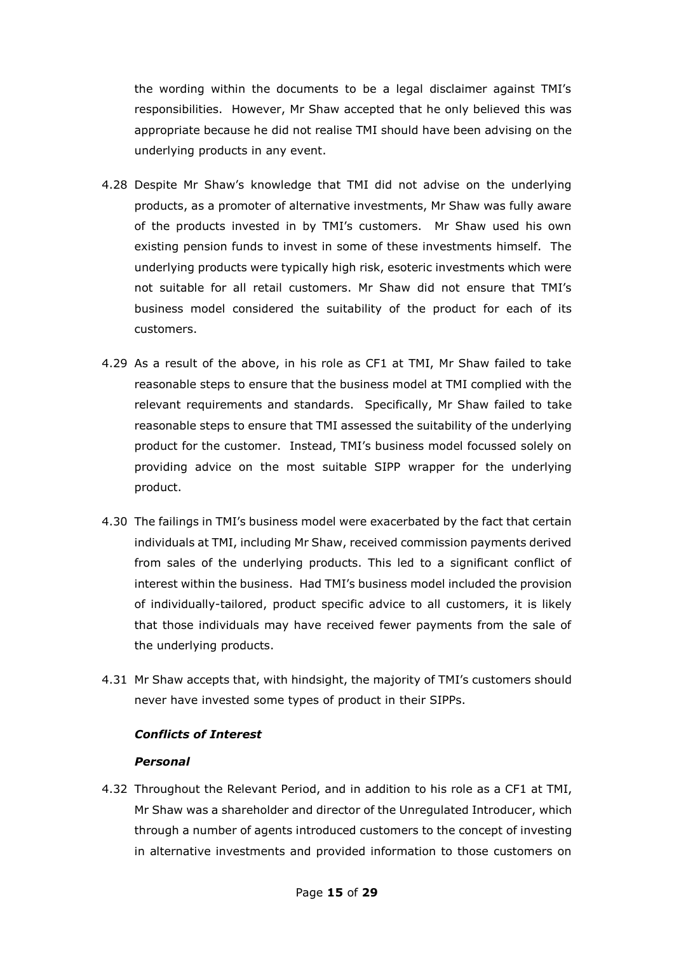the wording within the documents to be a legal disclaimer against TMI's responsibilities. However, Mr Shaw accepted that he only believed this was appropriate because he did not realise TMI should have been advising on the underlying products in any event.

- 4.28 Despite Mr Shaw's knowledge that TMI did not advise on the underlying products, as a promoter of alternative investments, Mr Shaw was fully aware of the products invested in by TMI's customers. Mr Shaw used his own existing pension funds to invest in some of these investments himself. The underlying products were typically high risk, esoteric investments which were not suitable for all retail customers. Mr Shaw did not ensure that TMI's business model considered the suitability of the product for each of its customers.
- 4.29 As a result of the above, in his role as CF1 at TMI, Mr Shaw failed to take reasonable steps to ensure that the business model at TMI complied with the relevant requirements and standards. Specifically, Mr Shaw failed to take reasonable steps to ensure that TMI assessed the suitability of the underlying product for the customer. Instead, TMI's business model focussed solely on providing advice on the most suitable SIPP wrapper for the underlying product.
- 4.30 The failings in TMI's business model were exacerbated by the fact that certain individuals at TMI, including Mr Shaw, received commission payments derived from sales of the underlying products. This led to a significant conflict of interest within the business. Had TMI's business model included the provision of individually-tailored, product specific advice to all customers, it is likely that those individuals may have received fewer payments from the sale of the underlying products.
- 4.31 Mr Shaw accepts that, with hindsight, the majority of TMI's customers should never have invested some types of product in their SIPPs.

# *Conflicts of Interest*

#### *Personal*

4.32 Throughout the Relevant Period, and in addition to his role as a CF1 at TMI, Mr Shaw was a shareholder and director of the Unregulated Introducer, which through a number of agents introduced customers to the concept of investing in alternative investments and provided information to those customers on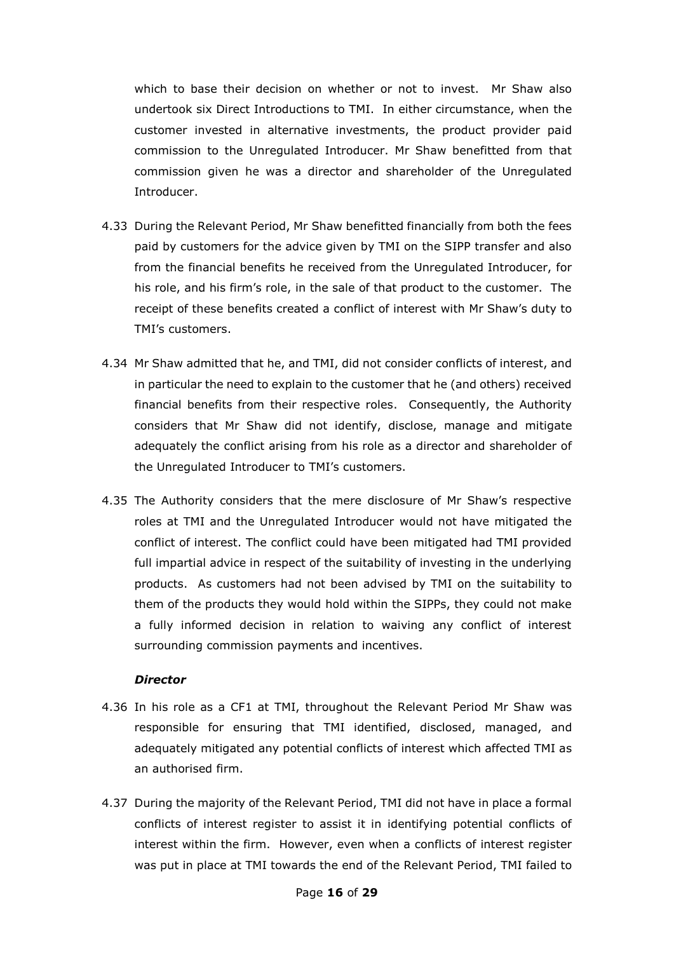which to base their decision on whether or not to invest. Mr Shaw also undertook six Direct Introductions to TMI. In either circumstance, when the customer invested in alternative investments, the product provider paid commission to the Unregulated Introducer. Mr Shaw benefitted from that commission given he was a director and shareholder of the Unregulated Introducer.

- 4.33 During the Relevant Period, Mr Shaw benefitted financially from both the fees paid by customers for the advice given by TMI on the SIPP transfer and also from the financial benefits he received from the Unregulated Introducer, for his role, and his firm's role, in the sale of that product to the customer. The receipt of these benefits created a conflict of interest with Mr Shaw's duty to TMI's customers.
- 4.34 Mr Shaw admitted that he, and TMI, did not consider conflicts of interest, and in particular the need to explain to the customer that he (and others) received financial benefits from their respective roles. Consequently, the Authority considers that Mr Shaw did not identify, disclose, manage and mitigate adequately the conflict arising from his role as a director and shareholder of the Unregulated Introducer to TMI's customers.
- 4.35 The Authority considers that the mere disclosure of Mr Shaw's respective roles at TMI and the Unregulated Introducer would not have mitigated the conflict of interest. The conflict could have been mitigated had TMI provided full impartial advice in respect of the suitability of investing in the underlying products. As customers had not been advised by TMI on the suitability to them of the products they would hold within the SIPPs, they could not make a fully informed decision in relation to waiving any conflict of interest surrounding commission payments and incentives.

#### *Director*

- 4.36 In his role as a CF1 at TMI, throughout the Relevant Period Mr Shaw was responsible for ensuring that TMI identified, disclosed, managed, and adequately mitigated any potential conflicts of interest which affected TMI as an authorised firm.
- 4.37 During the majority of the Relevant Period, TMI did not have in place a formal conflicts of interest register to assist it in identifying potential conflicts of interest within the firm. However, even when a conflicts of interest register was put in place at TMI towards the end of the Relevant Period, TMI failed to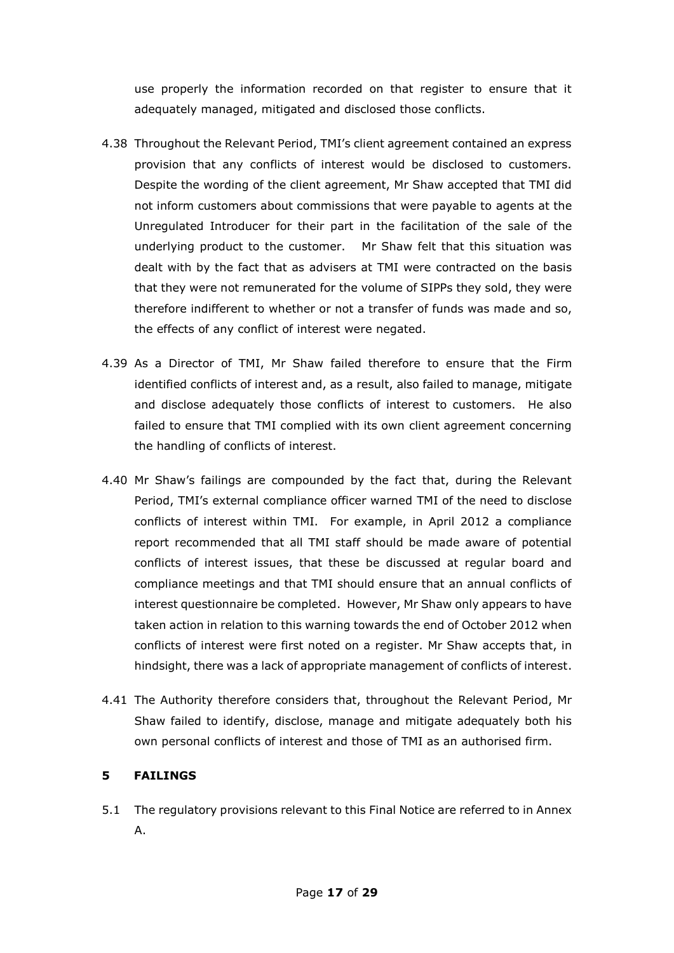use properly the information recorded on that register to ensure that it adequately managed, mitigated and disclosed those conflicts.

- 4.38 Throughout the Relevant Period, TMI's client agreement contained an express provision that any conflicts of interest would be disclosed to customers. Despite the wording of the client agreement, Mr Shaw accepted that TMI did not inform customers about commissions that were payable to agents at the Unregulated Introducer for their part in the facilitation of the sale of the underlying product to the customer. Mr Shaw felt that this situation was dealt with by the fact that as advisers at TMI were contracted on the basis that they were not remunerated for the volume of SIPPs they sold, they were therefore indifferent to whether or not a transfer of funds was made and so, the effects of any conflict of interest were negated.
- 4.39 As a Director of TMI, Mr Shaw failed therefore to ensure that the Firm identified conflicts of interest and, as a result, also failed to manage, mitigate and disclose adequately those conflicts of interest to customers. He also failed to ensure that TMI complied with its own client agreement concerning the handling of conflicts of interest.
- 4.40 Mr Shaw's failings are compounded by the fact that, during the Relevant Period, TMI's external compliance officer warned TMI of the need to disclose conflicts of interest within TMI. For example, in April 2012 a compliance report recommended that all TMI staff should be made aware of potential conflicts of interest issues, that these be discussed at regular board and compliance meetings and that TMI should ensure that an annual conflicts of interest questionnaire be completed. However, Mr Shaw only appears to have taken action in relation to this warning towards the end of October 2012 when conflicts of interest were first noted on a register. Mr Shaw accepts that, in hindsight, there was a lack of appropriate management of conflicts of interest.
- 4.41 The Authority therefore considers that, throughout the Relevant Period, Mr Shaw failed to identify, disclose, manage and mitigate adequately both his own personal conflicts of interest and those of TMI as an authorised firm.

# **5 FAILINGS**

5.1 The regulatory provisions relevant to this Final Notice are referred to in Annex A.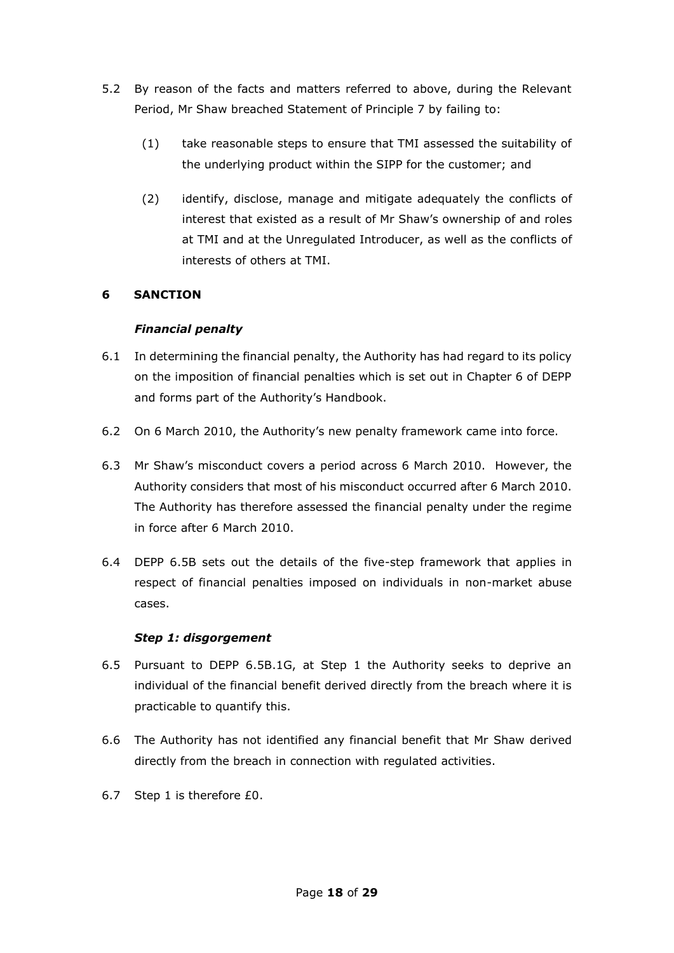- 5.2 By reason of the facts and matters referred to above, during the Relevant Period, Mr Shaw breached Statement of Principle 7 by failing to:
	- (1) take reasonable steps to ensure that TMI assessed the suitability of the underlying product within the SIPP for the customer; and
	- (2) identify, disclose, manage and mitigate adequately the conflicts of interest that existed as a result of Mr Shaw's ownership of and roles at TMI and at the Unregulated Introducer, as well as the conflicts of interests of others at TMI.

# **6 SANCTION**

### *Financial penalty*

- 6.1 In determining the financial penalty, the Authority has had regard to its policy on the imposition of financial penalties which is set out in Chapter 6 of DEPP and forms part of the Authority's Handbook.
- 6.2 On 6 March 2010, the Authority's new penalty framework came into force.
- 6.3 Mr Shaw's misconduct covers a period across 6 March 2010. However, the Authority considers that most of his misconduct occurred after 6 March 2010. The Authority has therefore assessed the financial penalty under the regime in force after 6 March 2010.
- 6.4 DEPP 6.5B sets out the details of the five-step framework that applies in respect of financial penalties imposed on individuals in non-market abuse cases.

#### *Step 1: disgorgement*

- 6.5 Pursuant to DEPP 6.5B.1G, at Step 1 the Authority seeks to deprive an individual of the financial benefit derived directly from the breach where it is practicable to quantify this.
- 6.6 The Authority has not identified any financial benefit that Mr Shaw derived directly from the breach in connection with regulated activities.
- 6.7 Step 1 is therefore £0.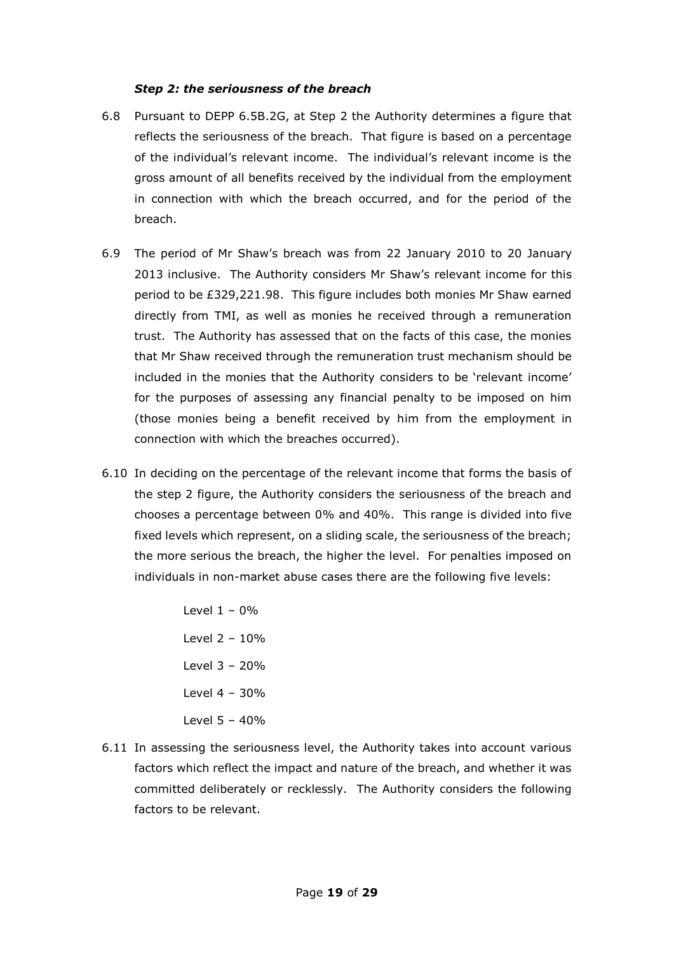#### *Step 2: the seriousness of the breach*

- 6.8 Pursuant to DEPP 6.5B.2G, at Step 2 the Authority determines a figure that reflects the seriousness of the breach. That figure is based on a percentage of the individual's relevant income. The individual's relevant income is the gross amount of all benefits received by the individual from the employment in connection with which the breach occurred, and for the period of the breach.
- 6.9 The period of Mr Shaw's breach was from 22 January 2010 to 20 January 2013 inclusive. The Authority considers Mr Shaw's relevant income for this period to be £329,221.98. This figure includes both monies Mr Shaw earned directly from TMI, as well as monies he received through a remuneration trust. The Authority has assessed that on the facts of this case, the monies that Mr Shaw received through the remuneration trust mechanism should be included in the monies that the Authority considers to be 'relevant income' for the purposes of assessing any financial penalty to be imposed on him (those monies being a benefit received by him from the employment in connection with which the breaches occurred).
- 6.10 In deciding on the percentage of the relevant income that forms the basis of the step 2 figure, the Authority considers the seriousness of the breach and chooses a percentage between 0% and 40%. This range is divided into five fixed levels which represent, on a sliding scale, the seriousness of the breach; the more serious the breach, the higher the level. For penalties imposed on individuals in non-market abuse cases there are the following five levels:

Level  $1 - 0%$ Level 2 – 10% Level 3 – 20% Level 4 – 30% Level 5 – 40%

6.11 In assessing the seriousness level, the Authority takes into account various factors which reflect the impact and nature of the breach, and whether it was committed deliberately or recklessly. The Authority considers the following factors to be relevant.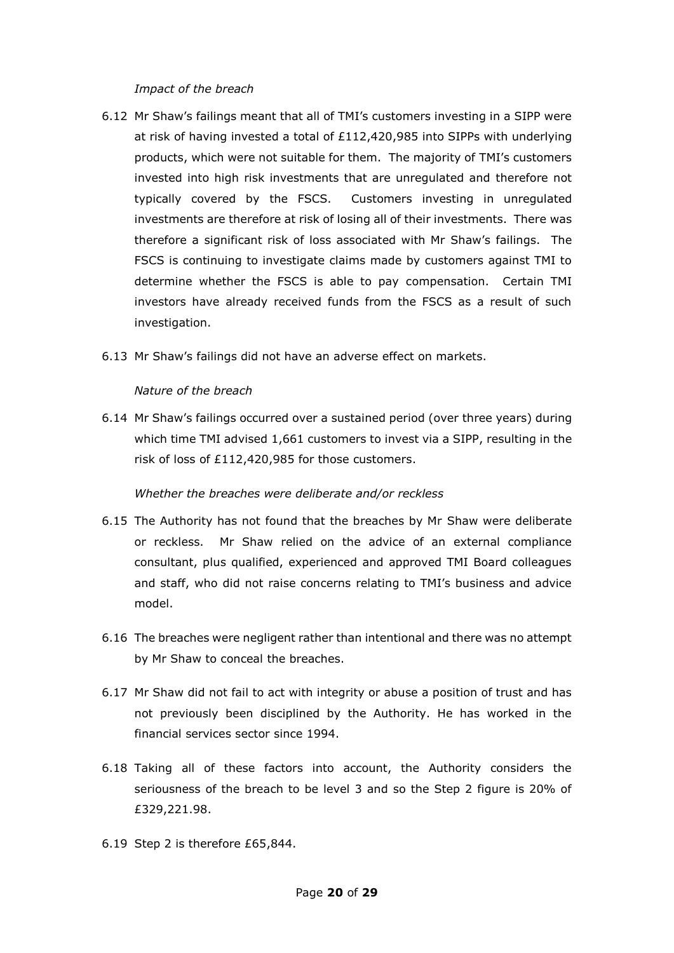#### *Impact of the breach*

- 6.12 Mr Shaw's failings meant that all of TMI's customers investing in a SIPP were at risk of having invested a total of £112,420,985 into SIPPs with underlying products, which were not suitable for them. The majority of TMI's customers invested into high risk investments that are unregulated and therefore not typically covered by the FSCS. Customers investing in unregulated investments are therefore at risk of losing all of their investments. There was therefore a significant risk of loss associated with Mr Shaw's failings. The FSCS is continuing to investigate claims made by customers against TMI to determine whether the FSCS is able to pay compensation. Certain TMI investors have already received funds from the FSCS as a result of such investigation.
- 6.13 Mr Shaw's failings did not have an adverse effect on markets.

#### *Nature of the breach*

6.14 Mr Shaw's failings occurred over a sustained period (over three years) during which time TMI advised 1,661 customers to invest via a SIPP, resulting in the risk of loss of £112,420,985 for those customers.

#### *Whether the breaches were deliberate and/or reckless*

- 6.15 The Authority has not found that the breaches by Mr Shaw were deliberate or reckless. Mr Shaw relied on the advice of an external compliance consultant, plus qualified, experienced and approved TMI Board colleagues and staff, who did not raise concerns relating to TMI's business and advice model.
- 6.16 The breaches were negligent rather than intentional and there was no attempt by Mr Shaw to conceal the breaches.
- 6.17 Mr Shaw did not fail to act with integrity or abuse a position of trust and has not previously been disciplined by the Authority. He has worked in the financial services sector since 1994.
- 6.18 Taking all of these factors into account, the Authority considers the seriousness of the breach to be level 3 and so the Step 2 figure is 20% of £329,221.98.
- 6.19 Step 2 is therefore £65,844.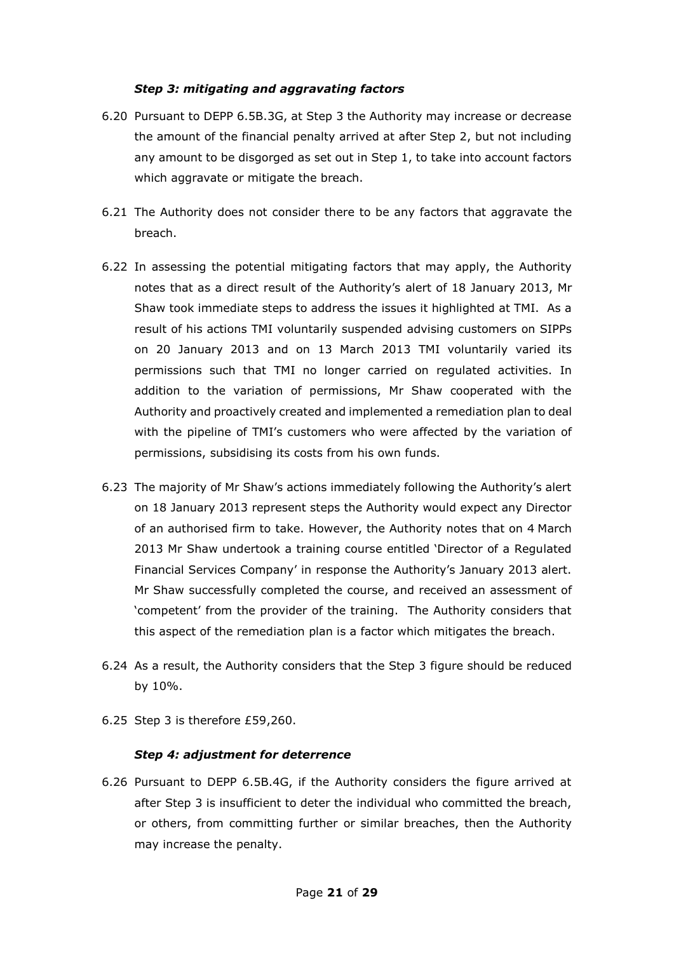#### *Step 3: mitigating and aggravating factors*

- 6.20 Pursuant to DEPP 6.5B.3G, at Step 3 the Authority may increase or decrease the amount of the financial penalty arrived at after Step 2, but not including any amount to be disgorged as set out in Step 1, to take into account factors which aggravate or mitigate the breach.
- 6.21 The Authority does not consider there to be any factors that aggravate the breach.
- 6.22 In assessing the potential mitigating factors that may apply, the Authority notes that as a direct result of the Authority's alert of 18 January 2013, Mr Shaw took immediate steps to address the issues it highlighted at TMI. As a result of his actions TMI voluntarily suspended advising customers on SIPPs on 20 January 2013 and on 13 March 2013 TMI voluntarily varied its permissions such that TMI no longer carried on regulated activities. In addition to the variation of permissions, Mr Shaw cooperated with the Authority and proactively created and implemented a remediation plan to deal with the pipeline of TMI's customers who were affected by the variation of permissions, subsidising its costs from his own funds.
- 6.23 The majority of Mr Shaw's actions immediately following the Authority's alert on 18 January 2013 represent steps the Authority would expect any Director of an authorised firm to take. However, the Authority notes that on 4 March 2013 Mr Shaw undertook a training course entitled 'Director of a Regulated Financial Services Company' in response the Authority's January 2013 alert. Mr Shaw successfully completed the course, and received an assessment of 'competent' from the provider of the training. The Authority considers that this aspect of the remediation plan is a factor which mitigates the breach.
- 6.24 As a result, the Authority considers that the Step 3 figure should be reduced by 10%.
- 6.25 Step 3 is therefore £59,260.

#### *Step 4: adjustment for deterrence*

6.26 Pursuant to DEPP 6.5B.4G, if the Authority considers the figure arrived at after Step 3 is insufficient to deter the individual who committed the breach, or others, from committing further or similar breaches, then the Authority may increase the penalty.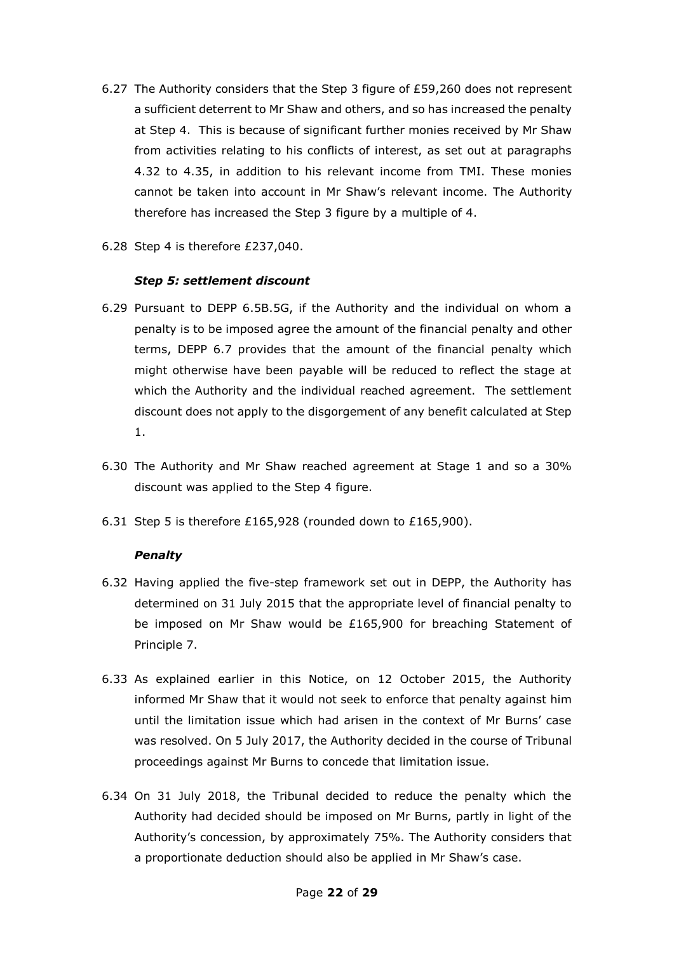- 6.27 The Authority considers that the Step 3 figure of £59,260 does not represent a sufficient deterrent to Mr Shaw and others, and so has increased the penalty at Step 4. This is because of significant further monies received by Mr Shaw from activities relating to his conflicts of interest, as set out at paragraphs 4.32 to 4.35, in addition to his relevant income from TMI. These monies cannot be taken into account in Mr Shaw's relevant income. The Authority therefore has increased the Step 3 figure by a multiple of 4.
- 6.28 Step 4 is therefore £237,040.

#### *Step 5: settlement discount*

- 6.29 Pursuant to DEPP 6.5B.5G, if the Authority and the individual on whom a penalty is to be imposed agree the amount of the financial penalty and other terms, DEPP 6.7 provides that the amount of the financial penalty which might otherwise have been payable will be reduced to reflect the stage at which the Authority and the individual reached agreement. The settlement discount does not apply to the disgorgement of any benefit calculated at Step 1.
- 6.30 The Authority and Mr Shaw reached agreement at Stage 1 and so a 30% discount was applied to the Step 4 figure.
- 6.31 Step 5 is therefore £165,928 (rounded down to £165,900).

#### *Penalty*

- 6.32 Having applied the five-step framework set out in DEPP, the Authority has determined on 31 July 2015 that the appropriate level of financial penalty to be imposed on Mr Shaw would be £165,900 for breaching Statement of Principle 7.
- 6.33 As explained earlier in this Notice, on 12 October 2015, the Authority informed Mr Shaw that it would not seek to enforce that penalty against him until the limitation issue which had arisen in the context of Mr Burns' case was resolved. On 5 July 2017, the Authority decided in the course of Tribunal proceedings against Mr Burns to concede that limitation issue.
- 6.34 On 31 July 2018, the Tribunal decided to reduce the penalty which the Authority had decided should be imposed on Mr Burns, partly in light of the Authority's concession, by approximately 75%. The Authority considers that a proportionate deduction should also be applied in Mr Shaw's case.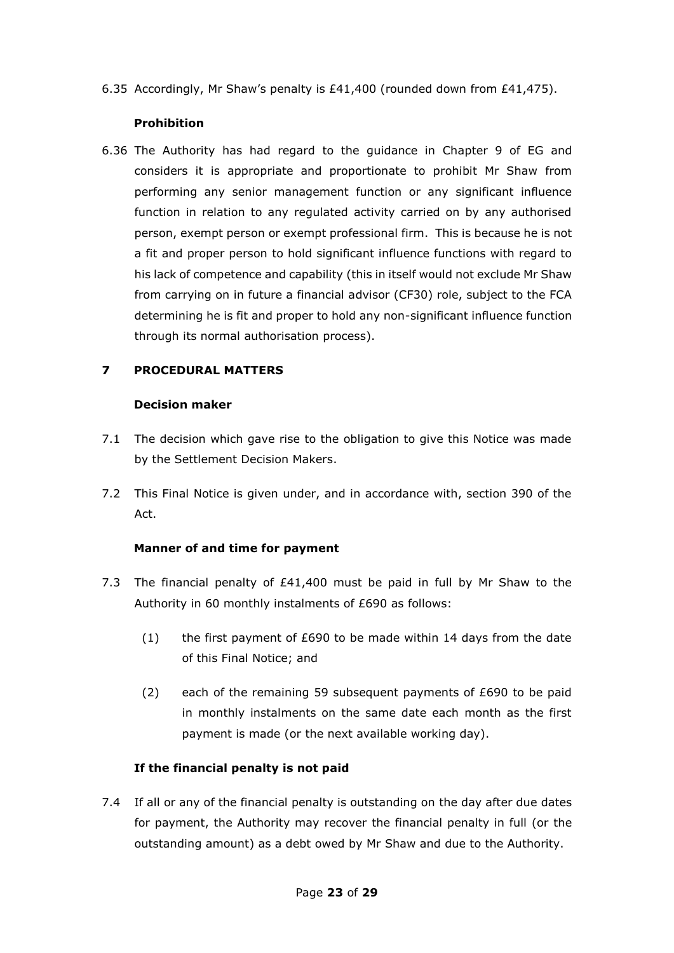6.35 Accordingly, Mr Shaw's penalty is £41,400 (rounded down from £41,475).

### **Prohibition**

6.36 The Authority has had regard to the guidance in Chapter 9 of EG and considers it is appropriate and proportionate to prohibit Mr Shaw from performing any senior management function or any significant influence function in relation to any regulated activity carried on by any authorised person, exempt person or exempt professional firm. This is because he is not a fit and proper person to hold significant influence functions with regard to his lack of competence and capability (this in itself would not exclude Mr Shaw from carrying on in future a financial advisor (CF30) role, subject to the FCA determining he is fit and proper to hold any non-significant influence function through its normal authorisation process).

# **7 PROCEDURAL MATTERS**

### **Decision maker**

- 7.1 The decision which gave rise to the obligation to give this Notice was made by the Settlement Decision Makers.
- 7.2 This Final Notice is given under, and in accordance with, section 390 of the Act.

# **Manner of and time for payment**

- 7.3 The financial penalty of £41,400 must be paid in full by Mr Shaw to the Authority in 60 monthly instalments of £690 as follows:
	- (1) the first payment of  $£690$  to be made within 14 days from the date of this Final Notice; and
	- (2) each of the remaining 59 subsequent payments of £690 to be paid in monthly instalments on the same date each month as the first payment is made (or the next available working day).

# **If the financial penalty is not paid**

7.4 If all or any of the financial penalty is outstanding on the day after due dates for payment, the Authority may recover the financial penalty in full (or the outstanding amount) as a debt owed by Mr Shaw and due to the Authority.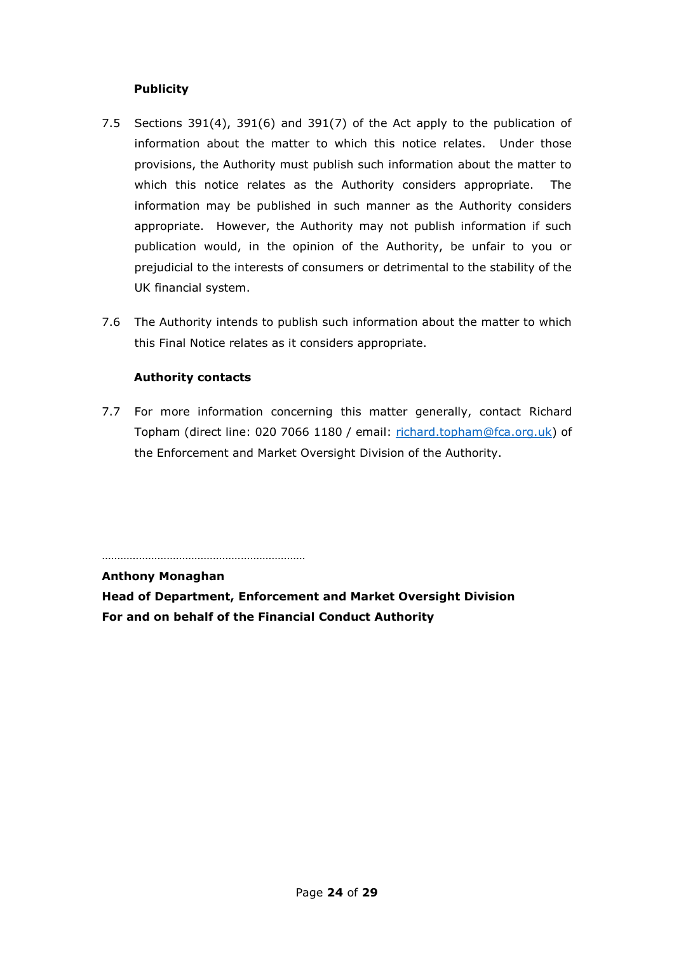### **Publicity**

- 7.5 Sections 391(4), 391(6) and 391(7) of the Act apply to the publication of information about the matter to which this notice relates. Under those provisions, the Authority must publish such information about the matter to which this notice relates as the Authority considers appropriate. The information may be published in such manner as the Authority considers appropriate. However, the Authority may not publish information if such publication would, in the opinion of the Authority, be unfair to you or prejudicial to the interests of consumers or detrimental to the stability of the UK financial system.
- 7.6 The Authority intends to publish such information about the matter to which this Final Notice relates as it considers appropriate.

### **Authority contacts**

7.7 For more information concerning this matter generally, contact Richard Topham (direct line: 020 7066 1180 / email: [richard.topham@fca.org.uk\)](mailto:richard.topham@fca.org.uk) of the Enforcement and Market Oversight Division of the Authority.

…………………………………………………………

**Anthony Monaghan** 

**Head of Department, Enforcement and Market Oversight Division For and on behalf of the Financial Conduct Authority**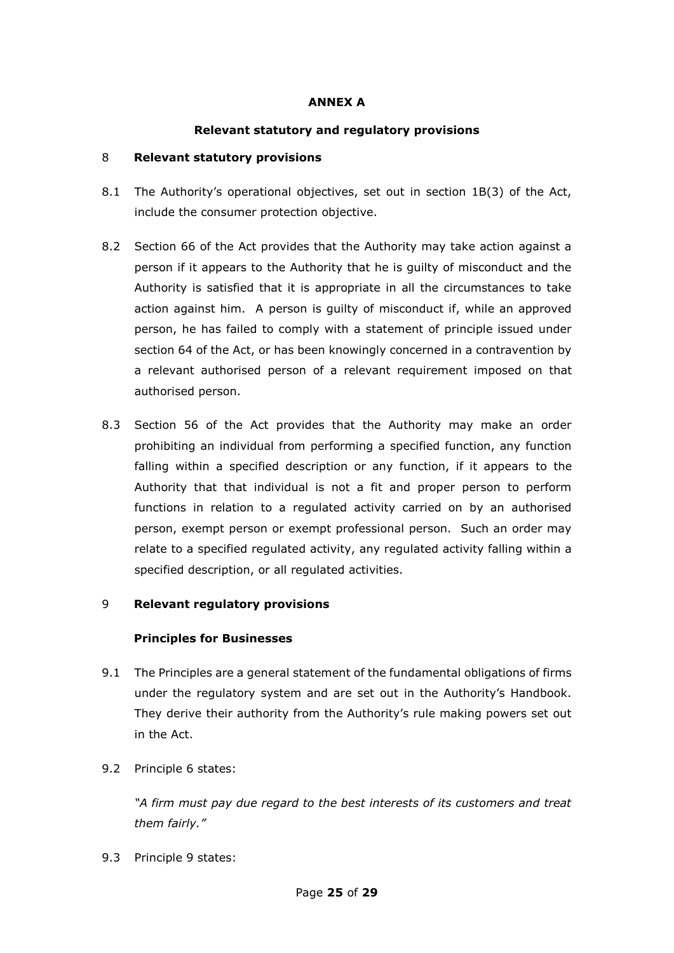### **ANNEX A**

### **Relevant statutory and regulatory provisions**

#### 8 **Relevant statutory provisions**

- 8.1 The Authority's operational objectives, set out in section 1B(3) of the Act, include the consumer protection objective.
- 8.2 Section 66 of the Act provides that the Authority may take action against a person if it appears to the Authority that he is guilty of misconduct and the Authority is satisfied that it is appropriate in all the circumstances to take action against him. A person is guilty of misconduct if, while an approved person, he has failed to comply with a statement of principle issued under section 64 of the Act, or has been knowingly concerned in a contravention by a relevant authorised person of a relevant requirement imposed on that authorised person.
- 8.3 Section 56 of the Act provides that the Authority may make an order prohibiting an individual from performing a specified function, any function falling within a specified description or any function, if it appears to the Authority that that individual is not a fit and proper person to perform functions in relation to a regulated activity carried on by an authorised person, exempt person or exempt professional person. Such an order may relate to a specified regulated activity, any regulated activity falling within a specified description, or all regulated activities.

#### 9 **Relevant regulatory provisions**

#### **Principles for Businesses**

- 9.1 The Principles are a general statement of the fundamental obligations of firms under the regulatory system and are set out in the Authority's Handbook. They derive their authority from the Authority's rule making powers set out in the Act.
- 9.2 Principle 6 states:

*"A firm must pay due regard to the best interests of its customers and treat them fairly."*

9.3 Principle 9 states: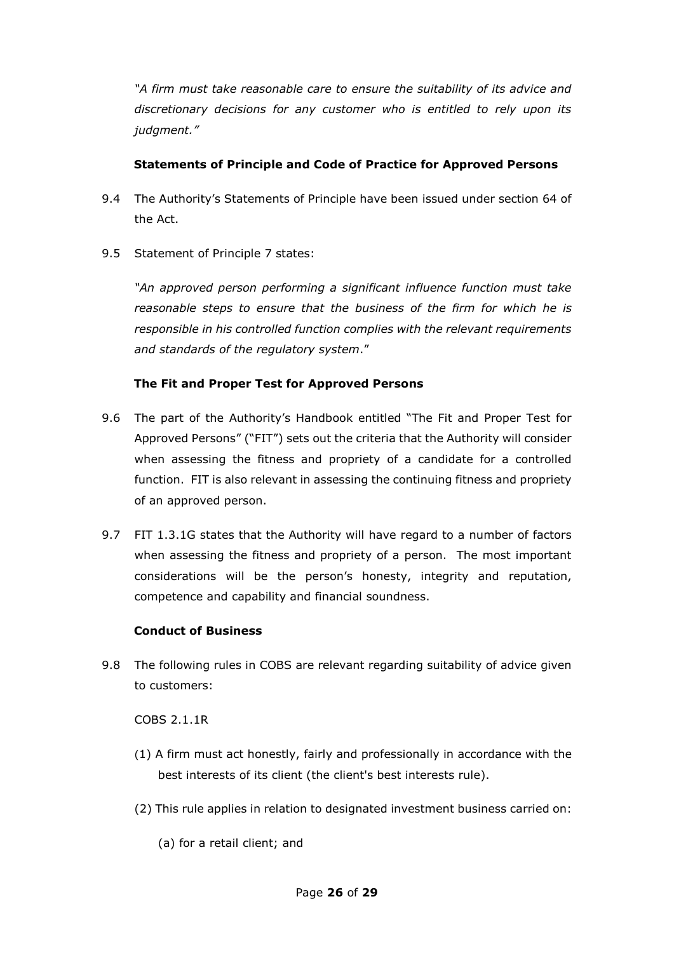*"A firm must take reasonable care to ensure the suitability of its advice and discretionary decisions for any customer who is entitled to rely upon its judgment."*

### **Statements of Principle and Code of Practice for Approved Persons**

- 9.4 The Authority's Statements of Principle have been issued under section 64 of the Act.
- 9.5 Statement of Principle 7 states:

*"An approved person performing a significant influence function must take reasonable steps to ensure that the business of the firm for which he is responsible in his controlled function complies with the relevant requirements and standards of the regulatory system*."

# **The Fit and Proper Test for Approved Persons**

- 9.6 The part of the Authority's Handbook entitled "The Fit and Proper Test for Approved Persons" ("FIT") sets out the criteria that the Authority will consider when assessing the fitness and propriety of a candidate for a controlled function. FIT is also relevant in assessing the continuing fitness and propriety of an approved person.
- 9.7 FIT 1.3.1G states that the Authority will have regard to a number of factors when assessing the fitness and propriety of a person. The most important considerations will be the person's honesty, integrity and reputation, competence and capability and financial soundness.

# **Conduct of Business**

9.8 The following rules in COBS are relevant regarding suitability of advice given to customers:

COBS 2.1.1R

- (1) A [firm](https://fshandbook.info/FS/glossary-html/handbook/Glossary/F?definition=G430) must act honestly, fairly and professionally in accordance with the best interests of its [client](https://fshandbook.info/FS/glossary-html/handbook/Glossary/C?definition=G156) (the [client's best interests rule\)](https://fshandbook.info/FS/glossary-html/handbook/Glossary/C?definition=G2357).
- (2) This [rule](https://fshandbook.info/FS/glossary-html/handbook/Glossary/R?definition=G1036) applies in relation to [designated investment business](https://fshandbook.info/FS/glossary-html/handbook/Glossary/D?definition=G283) carried on:
	- (a) for a [retail client;](https://fshandbook.info/FS/glossary-html/handbook/Glossary/R?definition=G1980) and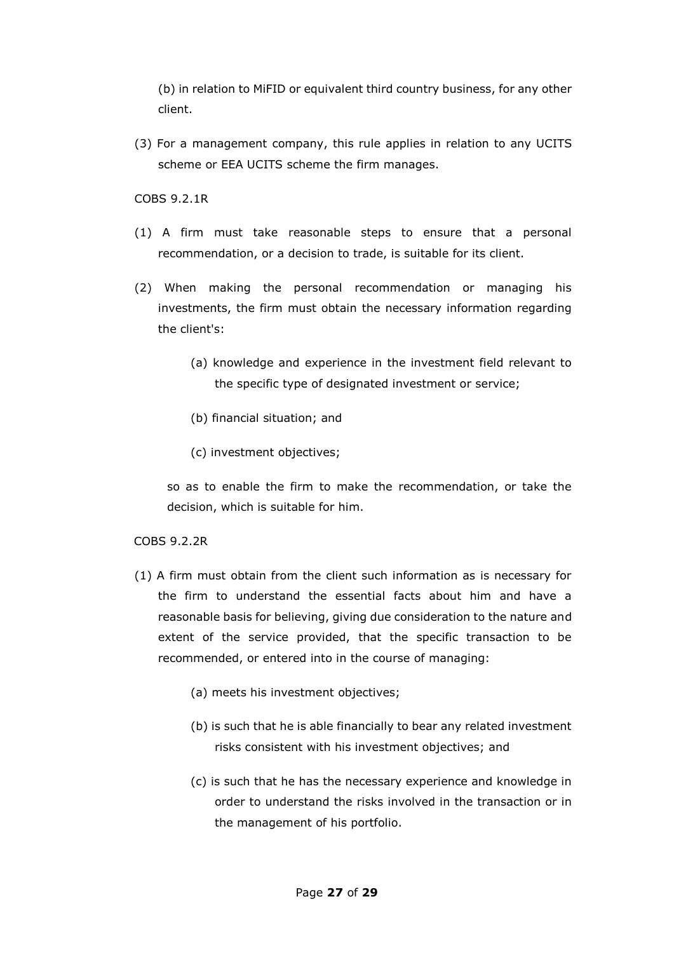(b) in relation to [MiFID or equivalent third country business,](https://fshandbook.info/FS/glossary-html/handbook/Glossary/M?definition=G2474) for any other [client.](https://fshandbook.info/FS/glossary-html/handbook/Glossary/C?definition=G156)

(3) For a [management company,](https://fshandbook.info/FS/glossary-html/handbook/Glossary/M?definition=G2455) this [rule](https://fshandbook.info/FS/glossary-html/handbook/Glossary/R?definition=G1036) applies in relation to any [UCITS](https://fshandbook.info/FS/glossary-html/handbook/Glossary/U?definition=G1204)  [scheme](https://fshandbook.info/FS/glossary-html/handbook/Glossary/U?definition=G1204) or [EEA UCITS scheme](https://fshandbook.info/FS/glossary-html/handbook/Glossary/E?definition=G2868) the [firm](https://fshandbook.info/FS/glossary-html/handbook/Glossary/F?definition=G430) manages.

COBS 9.2.1R

- (1) A firm must take reasonable steps to ensure that a personal recommendation, or a decision to trade, is suitable for its client.
- (2) When making the personal recommendation or managing his investments, the firm must obtain the necessary information regarding the client's:
	- (a) knowledge and experience in the investment field relevant to the specific type of designated investment or service;
	- (b) financial situation; and
	- (c) investment objectives;

so as to enable the firm to make the recommendation, or take the decision, which is suitable for him.

#### COBS 9.2.2R

- (1) A firm must obtain from the client such information as is necessary for the firm to understand the essential facts about him and have a reasonable basis for believing, giving due consideration to the nature and extent of the service provided, that the specific transaction to be recommended, or entered into in the course of managing:
	- (a) meets his investment objectives;
	- (b) is such that he is able financially to bear any related investment risks consistent with his investment objectives; and
	- (c) is such that he has the necessary experience and knowledge in order to understand the risks involved in the transaction or in the management of his portfolio.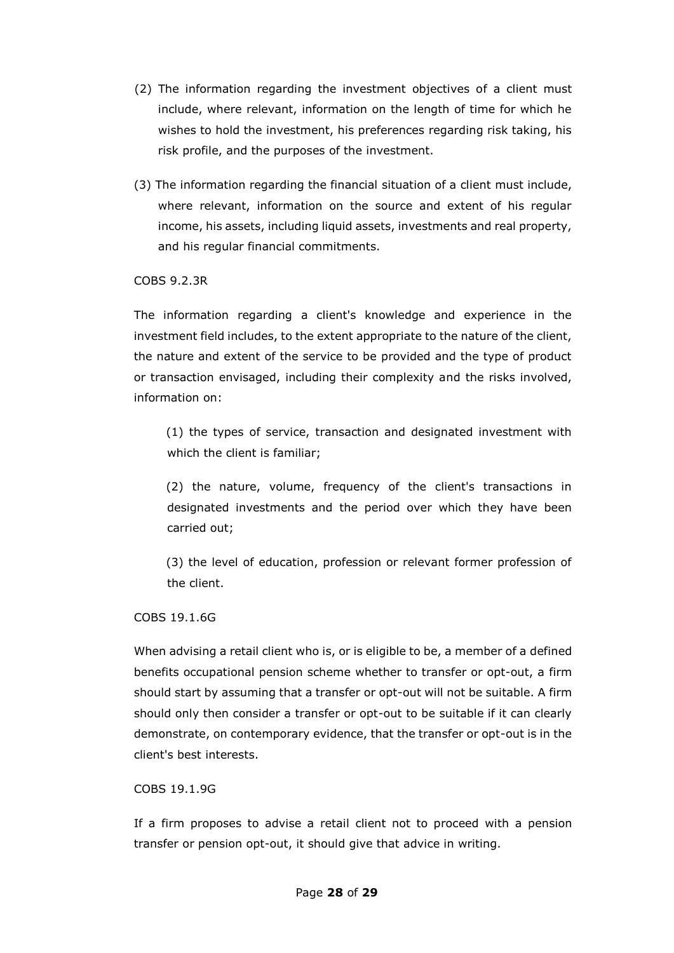- (2) The information regarding the investment objectives of a client must include, where relevant, information on the length of time for which he wishes to hold the investment, his preferences regarding risk taking, his risk profile, and the purposes of the investment.
- (3) The information regarding the financial situation of a client must include, where relevant, information on the source and extent of his regular income, his assets, including liquid assets, investments and real property, and his regular financial commitments.

COBS 9.2.3R

The information regarding a client's knowledge and experience in the investment field includes, to the extent appropriate to the nature of the client, the nature and extent of the service to be provided and the type of product or transaction envisaged, including their complexity and the risks involved, information on:

(1) the types of service, transaction and designated investment with which the client is familiar;

(2) the nature, volume, frequency of the client's transactions in designated investments and the period over which they have been carried out;

(3) the level of education, profession or relevant former profession of the client.

COBS 19.1.6G

When advising a [retail client](https://fshandbook.info/FS/glossary-html/handbook/Glossary/R?definition=G1980) who is, or is eligible to be, a member of a [defined](https://fshandbook.info/FS/glossary-html/handbook/Glossary/D?definition=G1704)  [benefits occupational pension scheme](https://fshandbook.info/FS/glossary-html/handbook/Glossary/D?definition=G1704) whether to transfer or opt-out, a [firm](https://fshandbook.info/FS/glossary-html/handbook/Glossary/F?definition=G430) should start by assuming that a transfer or opt-out will not be suitable. A [firm](https://fshandbook.info/FS/glossary-html/handbook/Glossary/F?definition=G430) should only then consider a transfer or opt-out to be suitable if it can clearly demonstrate, on contemporary evidence, that the transfer or opt-out is in the [client's](https://fshandbook.info/FS/glossary-html/handbook/Glossary/C?definition=G156) best interests.

COBS 19.1.9G

If a [firm](https://fshandbook.info/FS/glossary-html/handbook/Glossary/F?definition=G430) proposes to advise a [retail client](https://fshandbook.info/FS/glossary-html/handbook/Glossary/R?definition=G1980) not to proceed with a [pension](https://fshandbook.info/FS/glossary-html/handbook/Glossary/P?definition=G855)  [transfer](https://fshandbook.info/FS/glossary-html/handbook/Glossary/P?definition=G855) or [pension opt-out,](https://fshandbook.info/FS/glossary-html/handbook/Glossary/P?definition=G852) it should give that advice in writing.